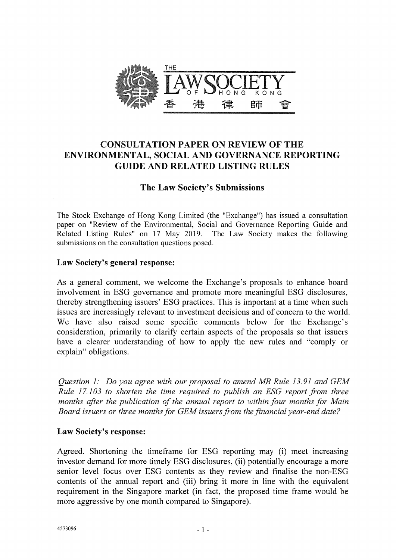

# CONSULTATION PAPER ON REVIEW OF THE ENVIRONMENTAL, SOCIAL AND GOVERNANCE REPORTING GUIDE AND RELATED LISTING RULES

# The Law Society's Submissions

The Stock Exchange of Hong Kong Limited (the "Exchange") has issued a consultation paper on "Review of the Environmental, Social and Governance Reporting Guide and Related Listing Rules" on 17 May 2019. The Law Society makes the following Related Listing Rules" on 17 May 2019. submissions on the consultation questions posed.

#### Law Society's general response:

As a general comment, we welcome the Exchange's proposals to enhance board involvement in ESG governance and promote more meaningful ESG disclosures, thereby strengthening issuers' ESG practices. This is important at a time when such issues are increasingly relevant to investment decisions and of concern to the world. We have also raised some specific comments below for the Exchange's consideration, primarily to clarify certain aspects of the proposals so that issuers have a clearer understanding of how to apply the new rules and "comply or explain" obligations.

*Question 1: Do you agree with our proposal to amend MB Rule 13.91 and GEM Rule 17.103 to shorten the time required to publish an ESG report from three months after the publication of the annual report to within four months for Main Board issuers or three months for GEM issuers from the financial year-end date?* 

#### Law Society's response:

Agreed. Shortening the timeframe for ESG reporting may (i) meet increasing investor demand for more timely ESG disclosures, (ii) potentially encourage a more senior level focus over ESG contents as they review and finalise the non-ESG contents of the annual report and (iii) bring it more in line with the equivalent requirement in the Singapore market (in fact, the proposed time frame would be more aggressive by one month compared to Singapore).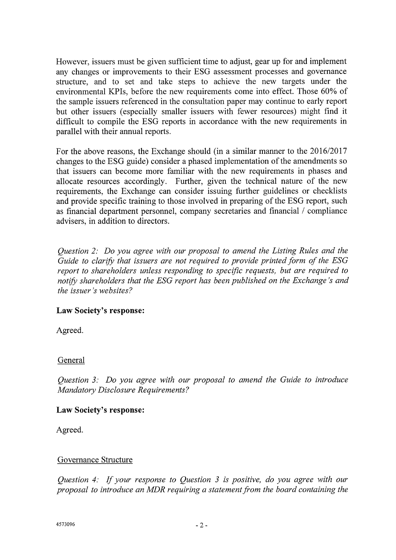However, issuers must be given sufficient time to adjust, gear up for and implement any changes or improvements to their ESG assessment processes and governance structure, and to set and take steps to achieve the new targets under the environmental KPIs, before the new requirements come into effect. Those 60% of the sample issuers referenced in the consultation paper may continue to early report but other issuers (especially smaller issuers with fewer resources) might find it difficult to compile the ESG reports in accordance with the new requirements in parallel with their annual reports.

For the above reasons, the Exchange should (in a similar manner to the 2016/2017 changes to the ESG guide) consider a phased implementation of the amendments so that issuers can become more familiar with the new requirements in phases and allocate resources accordingly. Further, given the technical nature of the new requirements, the Exchange can consider issuing further guidelines or checklists and provide specific training to those involved in preparing of the ESG report, such as financial department personnel, company secretaries and financial / compliance advisers, in addition to directors.

*Question 2: Do you agree with our proposal to amend the Listing Rules and the Guide to clarify that issuers are not required to provide printed form of the ESG report to shareholders unless responding to specific requests, but are required to notify shareholders shareholders that the ESG report has been published on the Exchange's and the issuer 's websites?* 

### Law Society's response:

Agreed.

### General

*Question 3: Do you agree with our proposal to amend the Guide to introduce Mandatory Disclosure Requirements?* 

#### Law Society's response:

Agreed.

#### Governance Structure

*Question 4: If your response to Question 3 is positive, do you agree with our proposal to introduce an MDR requiring a statement from the board containing the*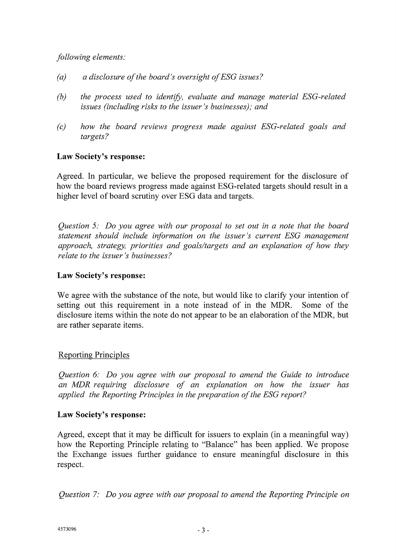## *following elements:*

- *(a) a disclosure of the board's oversight of ESG issues?*
- *(b) the process used to identify, evaluate and manage material ESG-related issues (including risks to the issuer 's businesses); and*
- *(c) how the board reviews progress made against ESG-related goals and targets?*

### **Law Society's response:**

Agreed. In particular, we believe the proposed requirement for the disclosure of how the board reviews progress made against ESG-related targets should result in a higher level of board scrutiny over ESG data and targets.

*Question 5: Do you agree with our proposal to set out in a note that the board statement should include information on the issuer's current ESG management approach, strategy, priorities and goals/targets and an explanation of how they relate to the issuer's businesses?* 

#### **Law Society's response:**

We agree with the substance of the note, but would like to clarify your intention of setting out this requirement in a note instead of in the MDR. Some of the disclosure items within the note do not appear to be an elaboration of the MDR, but are rather separate items.

### Reporting Principles

*Question 6: Do you agree with our proposal to amend the Guide to introduce an MDR requiring disclosure of an explanation on how the issuer has applied the Reporting Principles in the preparation of the ESG report?* 

#### **Law Society's response:**

Agreed, except that it may be difficult for issuers to explain (in a meaningful way) how the Reporting Principle relating to "Balance" has been applied. We propose the Exchange issues further guidance to ensure meaningful disclosure in this respect.

*Question 7: Do you agree with our proposal to amend the Reporting Principle on*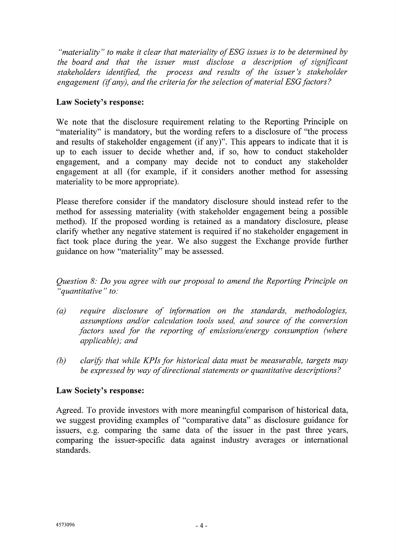*"materiality" to make it clear that materiality of ESG issues is to be determined by the board and that the issuer must disclose a description of significant stakeholders identified, the process and results of the issuer's stakeholder engagement (if any), and the criteria for the selection of material ESG factors?* 

# **Law Society's response:**

We note that the disclosure requirement relating to the Reporting Principle on "materiality" is mandatory, but the wording refers to a disclosure of "the process and results of stakeholder engagement (if any)". This appears to indicate that it is up to each issuer to decide whether and, if so, how to conduct stakeholder engagement, and a company may decide not to conduct any stakeholder engagement at all (for example, if it considers another method for assessing materiality to be more appropriate).

Please therefore consider if the mandatory disclosure should instead refer to the method for assessing materiality (with stakeholder engagement being a possible method). If the proposed wording is retained as a mandatory disclosure, please clarify whether any negative statement is required if no stakeholder engagement in fact took place during the year. We also suggest the Exchange provide further guidance on how "materiality" may be assessed.

*Question 8: Do you agree with our proposal to amend the Reporting Principle on "quantitative" to:* 

- *(a) require disclosure of information on the standards, methodologies, assumptions and/or calculation tools used, and source of the conversion factors used for the reporting of emissions/energy consumption (where applicable); and*
- *(b) clarify that while KPIs for historical data must be measurable, targets may be expressed by way of directional statements or quantitative descriptions?*

### **Law Society's response:**

Agreed. To provide investors with more meaningful comparison of historical data, we suggest providing examples of "comparative data" as disclosure guidance for issuers, e.g. comparing the same data of the issuer in the past three years, comparing the issuer-specific data against industry averages or international standards.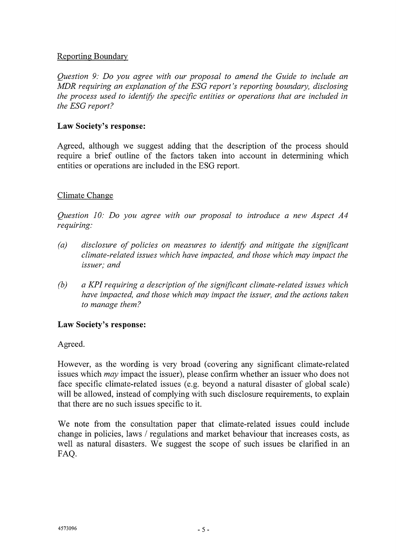## Reporting Boundary

*Question 9: Do you agree with our proposal to amend the Guide to include an MDR requiring an explanation of the ESG report's reporting boundary, disclosing the process used to identify the specific entities or operations that are included in the ESG report?* 

### **Law Society's response:**

Agreed, although we suggest adding that the description of the process should require a brief outline of the factors taken into account in determining which entities or operations are included in the ESG report.

# Climate Change

*Question 10: Do you agree with our proposal to introduce a new Aspect A4 requiring:* 

- *(a) disclosure of policies on measures to identify and mitigate the significant climate-related issues which have impacted, and those which may impact the issuer; and*
- *(b) a KPI requiring a description of the significant climate-related issues which have impacted, and those which may impact the issuer, and the actions taken to manage them?*

### **Law Society's response:**

Agreed.

However, as the wording is very broad (covering any significant climate-related issues which *may* impact the issuer), please confirm whether an issuer who does not face specific climate-related issues (e.g. beyond a natural disaster of global scale) will be allowed, instead of complying with such disclosure requirements, to explain that there are no such issues specific to it.

We note from the consultation paper that climate-related issues could include change in policies, laws / regulations and market behaviour that increases costs, as well as natural disasters. We suggest the scope of such issues be clarified in an FAQ.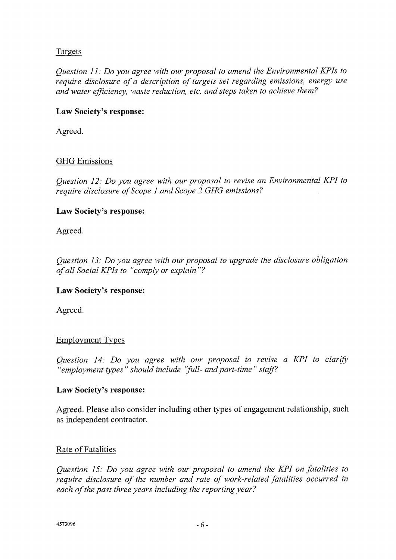# Targets

*Question 11: Do you agree with our proposal to amend the Environmental KPIs to require disclosure of a description of targets set regarding emissions, energy use and water efficiency, waste reduction, etc. and steps taken to achieve them?* 

## **Law Society's response:**

Agreed.

# GHG Emissions

*Question 12: Do you agree with our proposal to revise an Environmental KPI to require disclosure of Scope 1 and Scope 2 GHG emissions?* 

### **Law Society's response:**

Agreed.

*Question 13: Do you agree with our proposal to upgrade the disclosure obligation of all Social KPIs to "comply or explain"?* 

### **Law Society's response:**

Agreed.

### Employment Types

*Question 14: Do you agree with our proposal to revise a KPI to clarify*  "employment types" should include "full- and part-time" staff?

### **Law Society's response:**

Agreed. Please also consider including other types of engagement relationship, such as independent contractor.

### Rate of Fatalities

*Question 15: Do you agree with our proposal to amend the KPI on fatalities to require disclosure of the number and rate of work-related fatalities occurred in each of the past three years including the reporting year?*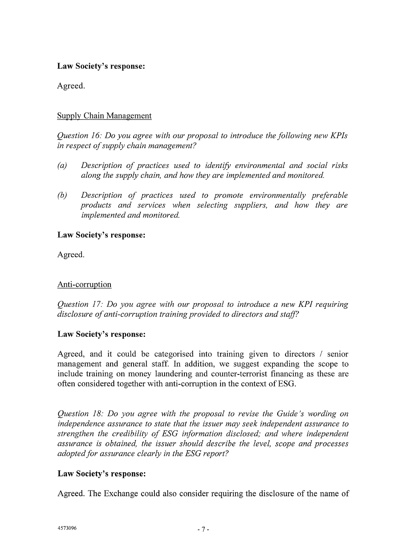## **Law Society's response:**

Agreed.

## Supply Chain Management

*Question 16: Do you agree with our proposal to introduce the following new KPIs in respect of supply chain management?* 

- (a) Description of practices used to identify environmental and social risks *along the supply chain, and how they are implemented and monitored.*
- *(b) Description of practices used to promote environmentally preferable products and services when selecting suppliers, and how they are implemented and monitored.*

#### **Law Society's response:**

Agreed.

## Anti-corruption

*Question 17: Do you agree with our proposal to introduce a new KPI requiring disclosure of anti-corruption training provided to directors and staff?* 

### **Law Society's response:**

Agreed, and it could be categorised into training given to directors / senior management and general staff. In addition, we suggest expanding the scope to include training on money laundering and counter-terrorist financing as these are often considered together with anti-corruption in the context of ESG.

*Question 18: Do you agree with the proposal to revise the Guide's wording on independence assurance to state that the issuer may seek independent assurance to strengthen the credibility of ESG information disclosed; and where independent assurance is obtained, the issuer should describe the level, scope and processes adopted for assurance clearly in the ESG report?* 

### **Law Society's response:**

Agreed. The Exchange could also consider requiring the disclosure of the name of